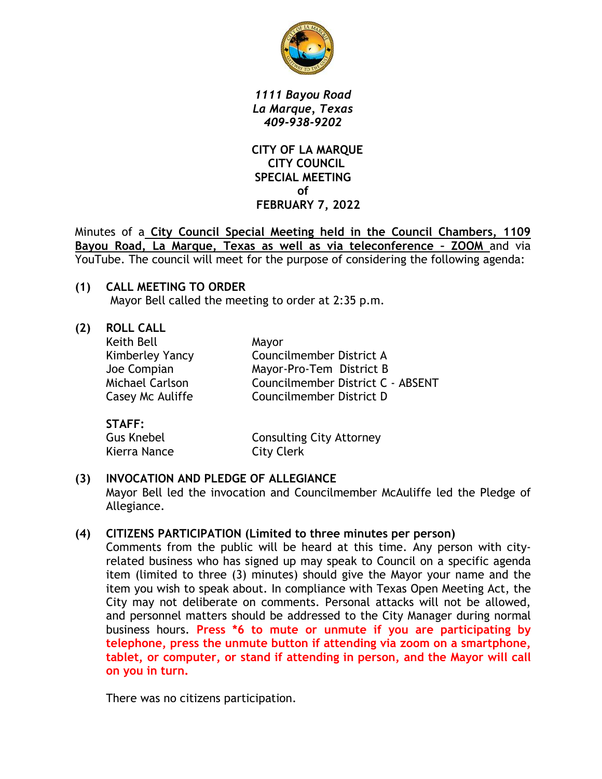

*1111 Bayou Road La Marque, Texas 409-938-9202*

 **CITY OF LA MARQUE CITY COUNCIL SPECIAL MEETING of FEBRUARY 7, 2022**

Minutes of a **City Council Special Meeting held in the Council Chambers, 1109 Bayou Road, La Marque, Texas as well as via teleconference – ZOOM** and via YouTube. The council will meet for the purpose of considering the following agenda:

**(1) CALL MEETING TO ORDER** Mayor Bell called the meeting to order at 2:35 p.m.

| <b>ROLL CALL</b> |                                   |
|------------------|-----------------------------------|
| Keith Bell       | Mayor                             |
| Kimberley Yancy  | Councilmember District A          |
| Joe Compian      | Mayor-Pro-Tem District B          |
| Michael Carlson  | Councilmember District C - ABSENT |
| Casey Mc Auliffe | Councilmember District D          |
|                  |                                   |
|                  |                                   |

| SIAFF:            |                                 |
|-------------------|---------------------------------|
| <b>Gus Knebel</b> | <b>Consulting City Attorney</b> |
| Kierra Nance      | <b>City Clerk</b>               |

### **(3) INVOCATION AND PLEDGE OF ALLEGIANCE** Mayor Bell led the invocation and Councilmember McAuliffe led the Pledge of Allegiance.

# **(4) CITIZENS PARTICIPATION (Limited to three minutes per person)**

Comments from the public will be heard at this time. Any person with cityrelated business who has signed up may speak to Council on a specific agenda item (limited to three (3) minutes) should give the Mayor your name and the item you wish to speak about. In compliance with Texas Open Meeting Act, the City may not deliberate on comments. Personal attacks will not be allowed, and personnel matters should be addressed to the City Manager during normal business hours. **Press \*6 to mute or unmute if you are participating by telephone, press the unmute button if attending via zoom on a smartphone, tablet, or computer, or stand if attending in person, and the Mayor will call on you in turn.**

There was no citizens participation.